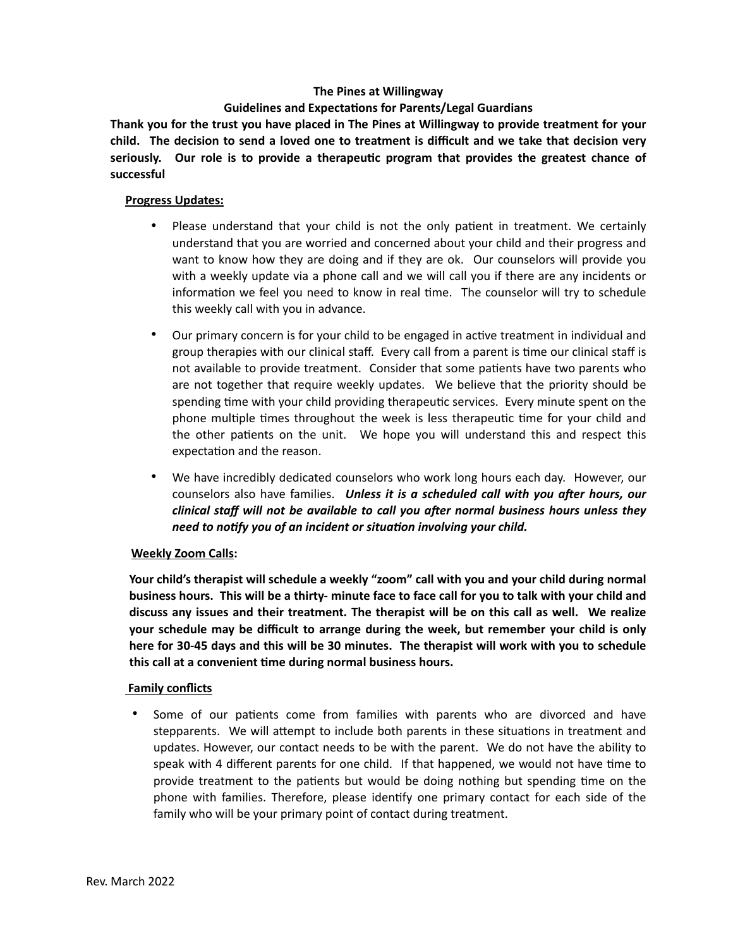#### **The Pines at Willingway**

# **Guidelines and Expectations for Parents/Legal Guardians**

**Thank you for the trust you have placed in The Pines at Willingway to provide treatment for your child. The decision to send a loved one to treatment is difficult and we take that decision very seriously. Our role is to provide a therapeutic program that provides the greatest chance of successful** 

#### **Progress Updates:**

- Please understand that your child is not the only patient in treatment. We certainly understand that you are worried and concerned about your child and their progress and want to know how they are doing and if they are ok. Our counselors will provide you with a weekly update via a phone call and we will call you if there are any incidents or information we feel you need to know in real time. The counselor will try to schedule this weekly call with you in advance.
- Our primary concern is for your child to be engaged in active treatment in individual and group therapies with our clinical staff. Every call from a parent is time our clinical staff is not available to provide treatment. Consider that some patients have two parents who are not together that require weekly updates. We believe that the priority should be spending time with your child providing therapeutic services. Every minute spent on the phone multiple times throughout the week is less therapeutic time for your child and the other patients on the unit. We hope you will understand this and respect this expectation and the reason.
- We have incredibly dedicated counselors who work long hours each day. However, our counselors also have families. *Unless it is a scheduled call with you after hours, our clinical staff will not be available to call you after normal business hours unless they need to notify you of an incident or situation involving your child.*

# **Weekly Zoom Calls:**

**Your child's therapist will schedule a weekly "zoom" call with you and your child during normal business hours. This will be a thirty- minute face to face call for you to talk with your child and discuss any issues and their treatment. The therapist will be on this call as well. We realize your schedule may be difficult to arrange during the week, but remember your child is only here for 30-45 days and this will be 30 minutes. The therapist will work with you to schedule this call at a convenient time during normal business hours.** 

# **Family conflicts**

Some of our patients come from families with parents who are divorced and have stepparents. We will attempt to include both parents in these situations in treatment and updates. However, our contact needs to be with the parent. We do not have the ability to speak with 4 different parents for one child. If that happened, we would not have time to provide treatment to the patients but would be doing nothing but spending time on the phone with families. Therefore, please identify one primary contact for each side of the family who will be your primary point of contact during treatment.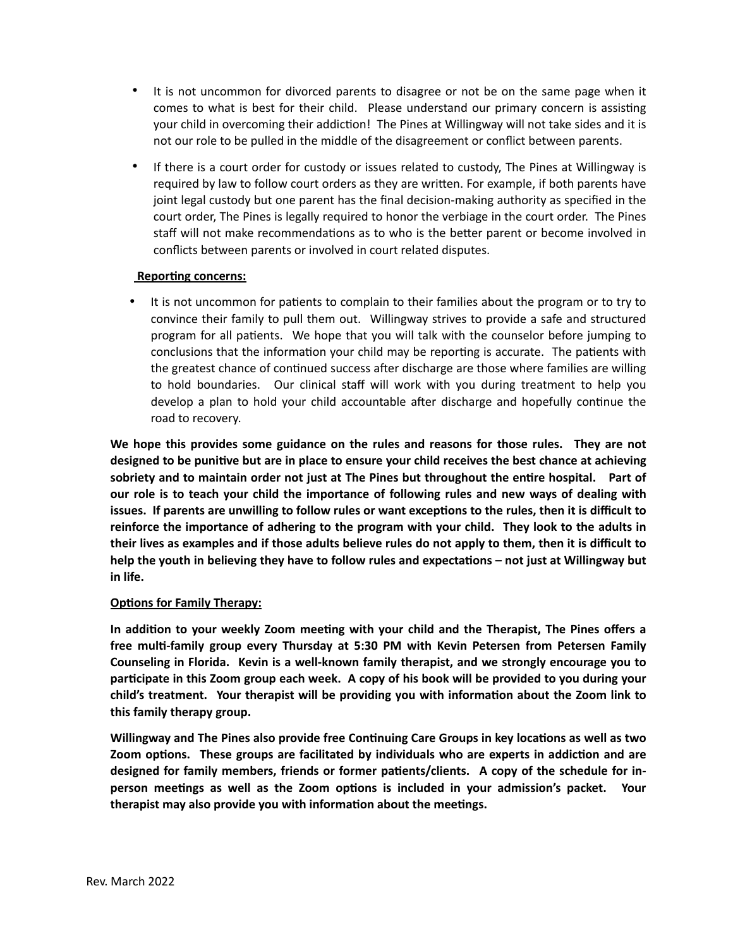- It is not uncommon for divorced parents to disagree or not be on the same page when it comes to what is best for their child. Please understand our primary concern is assisting your child in overcoming their addiction! The Pines at Willingway will not take sides and it is not our role to be pulled in the middle of the disagreement or conflict between parents.
- If there is a court order for custody or issues related to custody, The Pines at Willingway is required by law to follow court orders as they are written. For example, if both parents have joint legal custody but one parent has the final decision-making authority as specified in the court order, The Pines is legally required to honor the verbiage in the court order. The Pines staff will not make recommendations as to who is the better parent or become involved in conflicts between parents or involved in court related disputes.

#### **Reporting concerns:**

It is not uncommon for patients to complain to their families about the program or to try to convince their family to pull them out. Willingway strives to provide a safe and structured program for all patients. We hope that you will talk with the counselor before jumping to conclusions that the information your child may be reporting is accurate. The patients with the greatest chance of continued success after discharge are those where families are willing to hold boundaries. Our clinical staff will work with you during treatment to help you develop a plan to hold your child accountable after discharge and hopefully continue the road to recovery.

**We hope this provides some guidance on the rules and reasons for those rules. They are not designed to be punitive but are in place to ensure your child receives the best chance at achieving sobriety and to maintain order not just at The Pines but throughout the entire hospital. Part of our role is to teach your child the importance of following rules and new ways of dealing with issues. If parents are unwilling to follow rules or want exceptions to the rules, then it is difficult to reinforce the importance of adhering to the program with your child. They look to the adults in their lives as examples and if those adults believe rules do not apply to them, then it is difficult to help the youth in believing they have to follow rules and expectations – not just at Willingway but in life.**

# **Options for Family Therapy:**

**In addition to your weekly Zoom meeting with your child and the Therapist, The Pines offers a free multi-family group every Thursday at 5:30 PM with Kevin Petersen from Petersen Family Counseling in Florida. Kevin is a well-known family therapist, and we strongly encourage you to participate in this Zoom group each week. A copy of his book will be provided to you during your child's treatment. Your therapist will be providing you with information about the Zoom link to this family therapy group.** 

**Willingway and The Pines also provide free Continuing Care Groups in key locations as well as two Zoom options. These groups are facilitated by individuals who are experts in addiction and are designed for family members, friends or former patients/clients. A copy of the schedule for inperson meetings as well as the Zoom options is included in your admission's packet. Your therapist may also provide you with information about the meetings.**